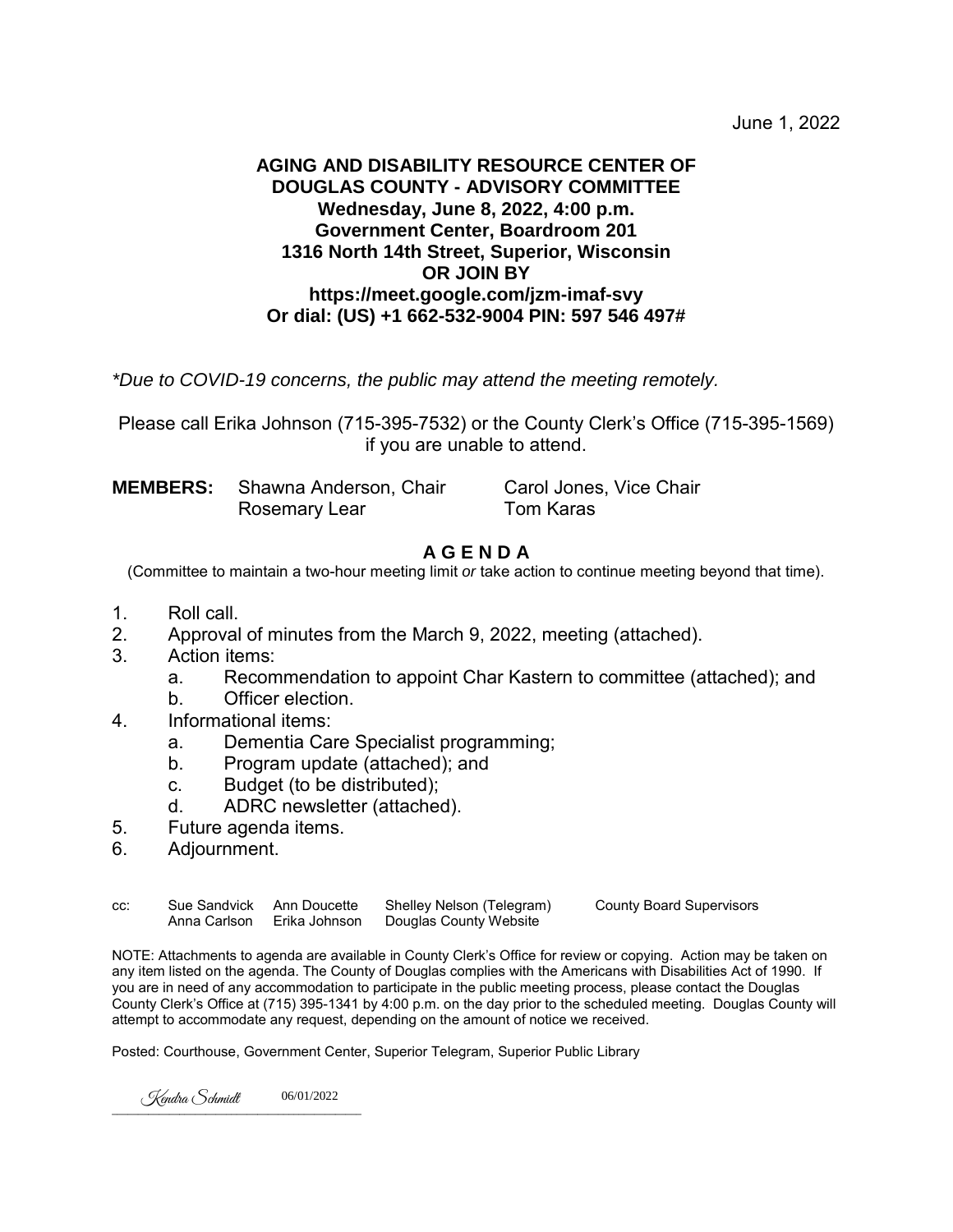June 1, 2022

### **AGING AND DISABILITY RESOURCE CENTER OF DOUGLAS COUNTY - ADVISORY COMMITTEE Wednesday, June 8, 2022, 4:00 p.m. Government Center, Boardroom 201 1316 North 14th Street, Superior, Wisconsin OR JOIN BY https://meet.google.com/jzm-imaf-svy Or dial: (US) +1 662-532-9004 PIN: 597 546 497#**

*\*Due to COVID-19 concerns, the public may attend the meeting remotely.*

Please call Erika Johnson (715-395-7532) or the County Clerk's Office (715-395-1569) if you are unable to attend.

**MEMBERS:** Shawna Anderson, Chair Carol Jones, Vice Chair Rosemary LearTom Karas

### **A G E N D A**

(Committee to maintain a two-hour meeting limit *or* take action to continue meeting beyond that time).

- 1. Roll call.<br>2 Approval
- Approval of minutes from the March 9, 2022, meeting (attached).
- 3. Action items:
	- a. Recommendation to appoint Char Kastern to committee (attached); and
	- b. Officer election.
- 4. Informational items:
	- a. Dementia Care Specialist programming;
	- b. Program update (attached); and
	- c. Budget (to be distributed);
	- d. ADRC newsletter (attached).
- 5. Future agenda items.
- 6. Adjournment.

| CC: | Sue Sandvick Ann Doucette | Shelley Nelson (Telegram)                         | <b>County Board Supervisors</b> |
|-----|---------------------------|---------------------------------------------------|---------------------------------|
|     |                           | Anna Carlson Erika Johnson Douglas County Website |                                 |

NOTE: Attachments to agenda are available in County Clerk's Office for review or copying. Action may be taken on any item listed on the agenda. The County of Douglas complies with the Americans with Disabilities Act of 1990. If you are in need of any accommodation to participate in the public meeting process, please contact the Douglas County Clerk's Office at (715) 395-1341 by 4:00 p.m. on the day prior to the scheduled meeting. Douglas County will attempt to accommodate any request, depending on the amount of notice we received.

Posted: Courthouse, Government Center, Superior Telegram, Superior Public Library

 $\overline{\phantom{a}}$  ,  $\overline{\phantom{a}}$  ,  $\overline{\phantom{a}}$  ,  $\overline{\phantom{a}}$  ,  $\overline{\phantom{a}}$  ,  $\overline{\phantom{a}}$  ,  $\overline{\phantom{a}}$  ,  $\overline{\phantom{a}}$  ,  $\overline{\phantom{a}}$  ,  $\overline{\phantom{a}}$  ,  $\overline{\phantom{a}}$  ,  $\overline{\phantom{a}}$  ,  $\overline{\phantom{a}}$  ,  $\overline{\phantom{a}}$  ,  $\overline{\phantom{a}}$  ,  $\overline{\phantom{a}}$ Kendra Schmidt 06/01/2022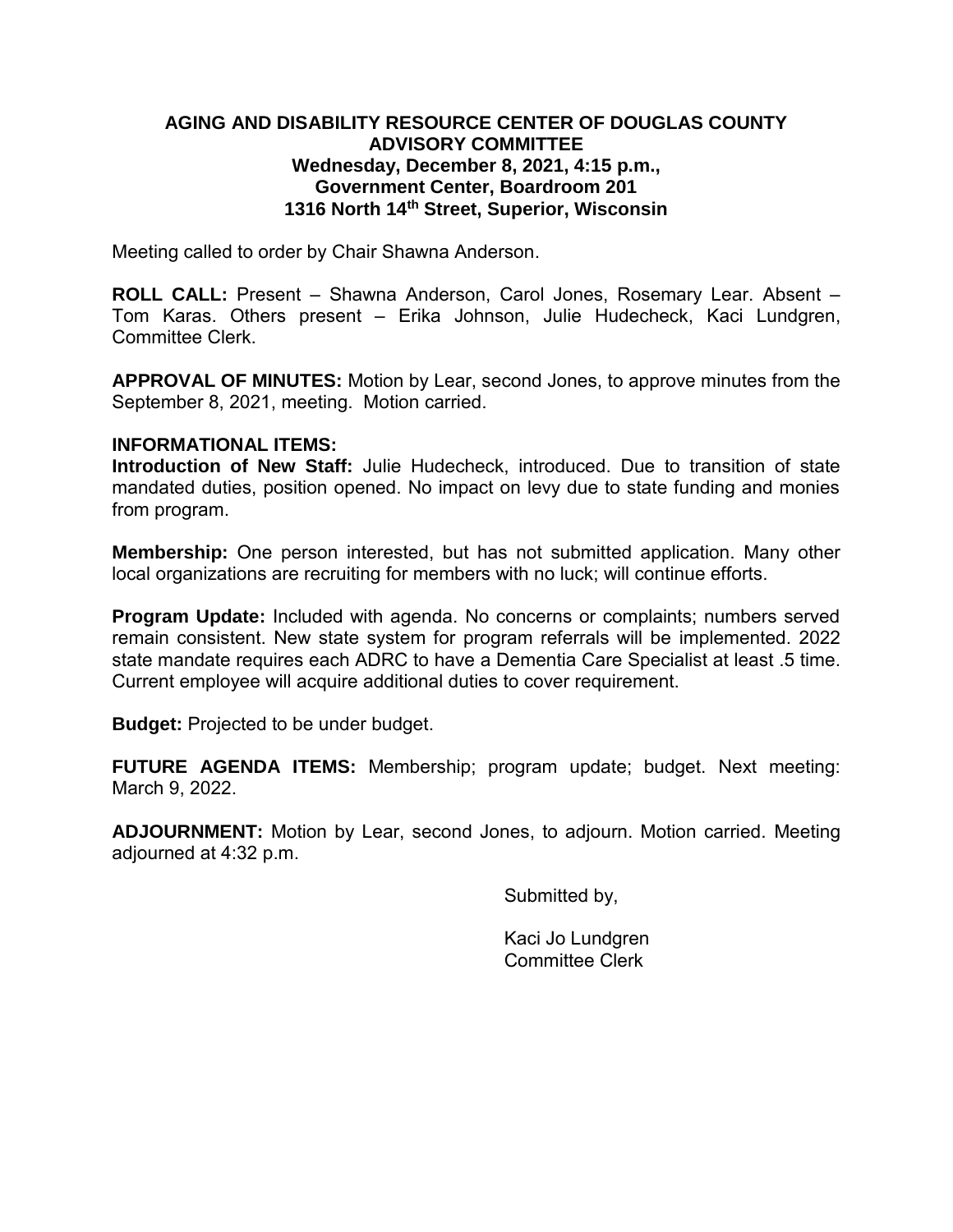### **AGING AND DISABILITY RESOURCE CENTER OF DOUGLAS COUNTY ADVISORY COMMITTEE Wednesday, December 8, 2021, 4:15 p.m., Government Center, Boardroom 201 1316 North 14th Street, Superior, Wisconsin**

Meeting called to order by Chair Shawna Anderson.

**ROLL CALL:** Present – Shawna Anderson, Carol Jones, Rosemary Lear. Absent – Tom Karas. Others present – Erika Johnson, Julie Hudecheck, Kaci Lundgren, Committee Clerk.

**APPROVAL OF MINUTES:** Motion by Lear, second Jones, to approve minutes from the September 8, 2021, meeting. Motion carried.

### **INFORMATIONAL ITEMS:**

**Introduction of New Staff:** Julie Hudecheck, introduced. Due to transition of state mandated duties, position opened. No impact on levy due to state funding and monies from program.

**Membership:** One person interested, but has not submitted application. Many other local organizations are recruiting for members with no luck; will continue efforts.

**Program Update:** Included with agenda. No concerns or complaints; numbers served remain consistent. New state system for program referrals will be implemented. 2022 state mandate requires each ADRC to have a Dementia Care Specialist at least .5 time. Current employee will acquire additional duties to cover requirement.

**Budget:** Projected to be under budget.

**FUTURE AGENDA ITEMS:** Membership; program update; budget. Next meeting: March 9, 2022.

**ADJOURNMENT:** Motion by Lear, second Jones, to adjourn. Motion carried. Meeting adjourned at 4:32 p.m.

Submitted by,

Kaci Jo Lundgren Committee Clerk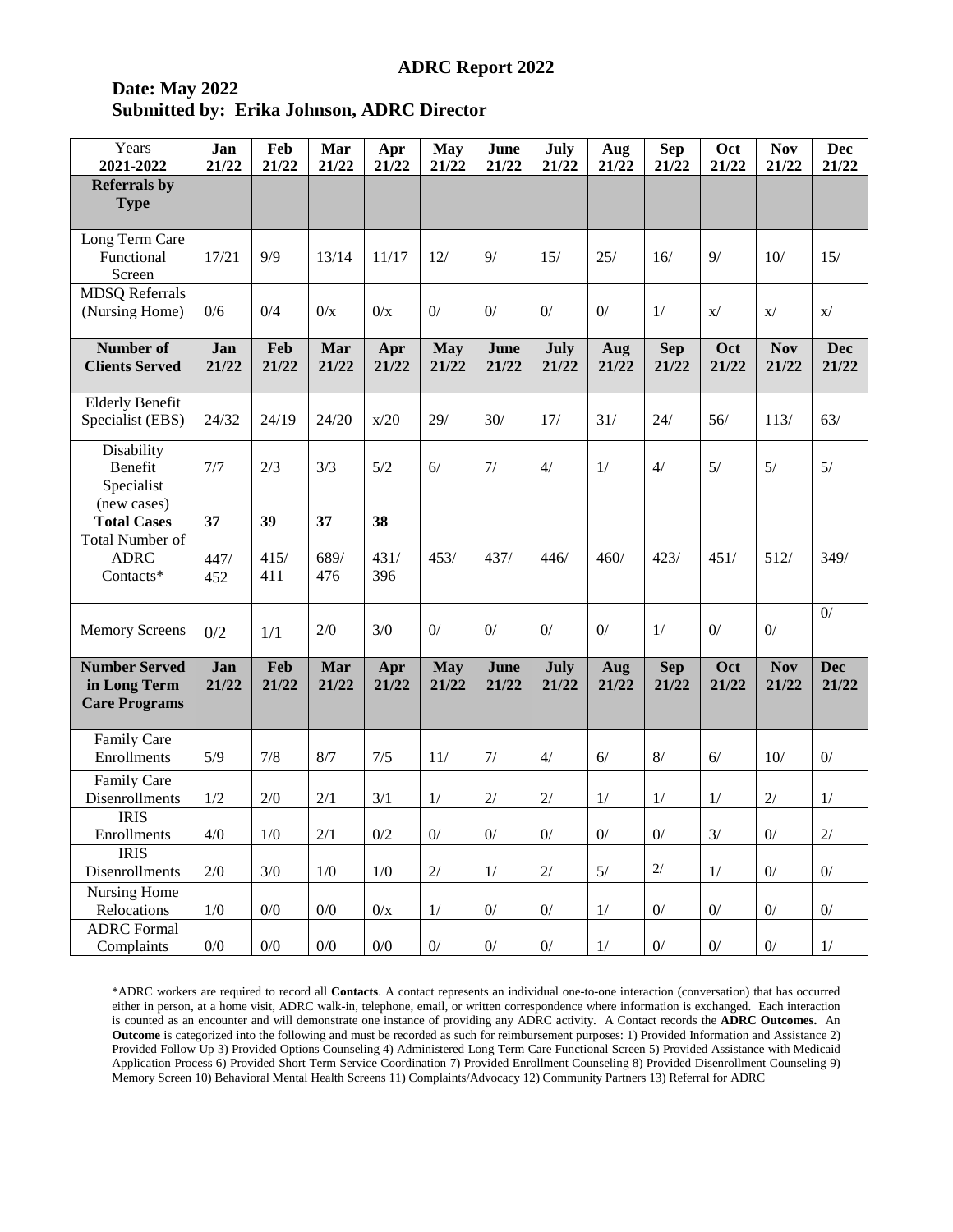### **Date: May 2022 Submitted by: Erika Johnson, ADRC Director**

| Years<br>2021-2022                                           | Jan<br>21/22 | Feb<br>21/22 | Mar<br>21/22 | Apr<br>21/22 | <b>May</b><br>21/22 | June<br>21/22 | July<br>21/22 | Aug<br>21/22 | <b>Sep</b><br>21/22 | Oct<br>21/22   | <b>Nov</b><br>21/22 | <b>Dec</b><br>21/22 |
|--------------------------------------------------------------|--------------|--------------|--------------|--------------|---------------------|---------------|---------------|--------------|---------------------|----------------|---------------------|---------------------|
| <b>Referrals by</b><br><b>Type</b>                           |              |              |              |              |                     |               |               |              |                     |                |                     |                     |
| Long Term Care<br>Functional<br>Screen                       | 17/21        | 9/9          | 13/14        | 11/17        | 12/                 | 9/            | 15/           | 25/          | 16/                 | 9/             | 10/                 | 15/                 |
| <b>MDSQ</b> Referrals<br>(Nursing Home)                      | 0/6          | 0/4          | 0/x          | 0/x          | $0/$                | 0/            | 0/            | 0/           | 1/                  | $\mathbf{x}$ / | X/                  | X/                  |
| Number of<br><b>Clients Served</b>                           | Jan<br>21/22 | Feb<br>21/22 | Mar<br>21/22 | Apr<br>21/22 | <b>May</b><br>21/22 | June<br>21/22 | July<br>21/22 | Aug<br>21/22 | <b>Sep</b><br>21/22 | Oct<br>21/22   | <b>Nov</b><br>21/22 | <b>Dec</b><br>21/22 |
| <b>Elderly Benefit</b><br>Specialist (EBS)                   | 24/32        | 24/19        | 24/20        | x/20         | 29/                 | 30/           | 17/           | 31/          | 24/                 | 56/            | 113/                | 63/                 |
| Disability<br>Benefit<br>Specialist<br>(new cases)           | 7/7          | 2/3          | 3/3          | 5/2          | 6/                  | 7/            | 4/            | 1/           | 4/                  | 5/             | 5/                  | 5/                  |
| <b>Total Cases</b>                                           | 37           | 39           | 37           | 38           |                     |               |               |              |                     |                |                     |                     |
| <b>Total Number of</b><br><b>ADRC</b><br>Contacts*           | 447/<br>452  | 415/<br>411  | 689/<br>476  | 431/<br>396  | 453/                | 437/          | 446/          | 460/         | 423/                | 451/           | 512/                | 349/                |
| <b>Memory Screens</b>                                        | 0/2          | 1/1          | 2/0          | 3/0          | 0/                  | 0/            | 0/            | 0/           | 1/                  | 0/             | 0/                  | 0/                  |
| <b>Number Served</b><br>in Long Term<br><b>Care Programs</b> | Jan<br>21/22 | Feb<br>21/22 | Mar<br>21/22 | Apr<br>21/22 | <b>May</b><br>21/22 | June<br>21/22 | July<br>21/22 | Aug<br>21/22 | <b>Sep</b><br>21/22 | Oct<br>21/22   | <b>Nov</b><br>21/22 | <b>Dec</b><br>21/22 |
| Family Care<br>Enrollments                                   | 5/9          | 7/8          | 8/7          | 7/5          | 11/                 | 7/            | 4/            | 6/           | $8/$                | 6/             | 10/                 | $0/$                |
| Family Care<br>Disenrollments                                | 1/2          | 2/0          | 2/1          | 3/1          | 1/                  | 2/            | 2/            | 1/           | 1/                  | 1/             | 2/                  | 1/                  |
| <b>IRIS</b><br>Enrollments<br><b>IRIS</b>                    | $4/0$        | 1/0          | 2/1          | $0/2$        | $0^{\prime}$        | $0/$          | $0/$          | $0/$         | $0\!/$              | $3/$           | $0\prime$           | $2/$                |
| Disenrollments                                               | $2/0$        | 3/0          | 1/0          | 1/0          | $2/$                | $1/$          | $2/$          | 5/           | $2/$                | $1/$           | $0/$                | $0/$                |
| Nursing Home<br>Relocations                                  | 1/0          | 0/0          | 0/0          | 0/x          | 1/                  | $0/$          | $0/$          | 1/           | $0/$                | 0/             | 0/                  | $0/$                |
| <b>ADRC</b> Formal<br>Complaints                             | $0/0$        | $0/0$        | $0/0$        | $0/0$        | $0^{\prime}$        | $0/$          | $0^{\prime}$  | $1/$         | $0^{\prime}$        | $0^{\prime}$   | $0/$                | $1/$                |

\*ADRC workers are required to record all **Contacts**. A contact represents an individual one-to-one interaction (conversation) that has occurred either in person, at a home visit, ADRC walk-in, telephone, email, or written correspondence where information is exchanged. Each interaction is counted as an encounter and will demonstrate one instance of providing any ADRC activity. A Contact records the **ADRC Outcomes.** An **Outcome** is categorized into the following and must be recorded as such for reimbursement purposes: 1) Provided Information and Assistance 2) Provided Follow Up 3) Provided Options Counseling 4) Administered Long Term Care Functional Screen 5) Provided Assistance with Medicaid Application Process 6) Provided Short Term Service Coordination 7) Provided Enrollment Counseling 8) Provided Disenrollment Counseling 9) Memory Screen 10) Behavioral Mental Health Screens 11) Complaints/Advocacy 12) Community Partners 13) Referral for ADRC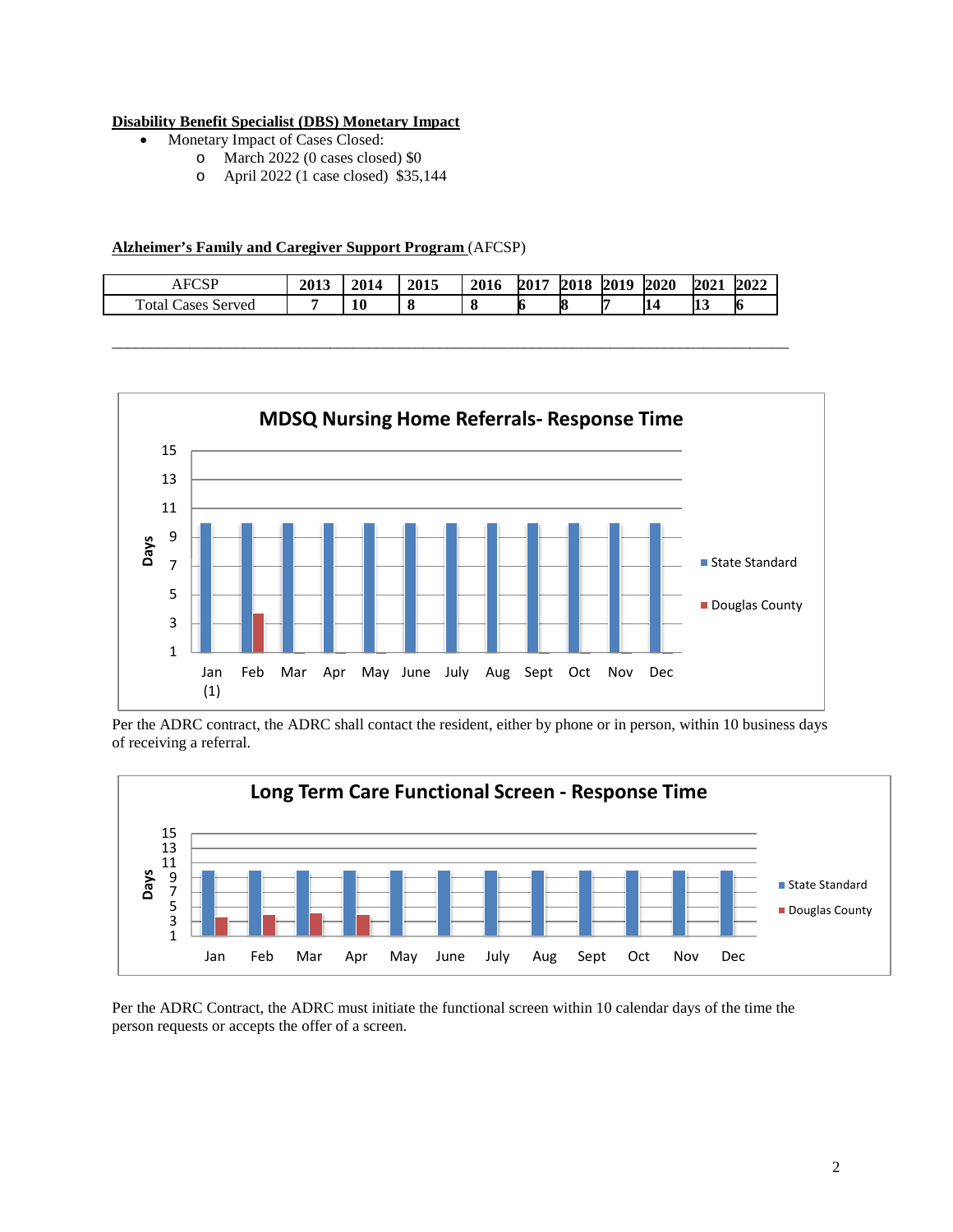#### **Disability Benefit Specialist (DBS) Monetary Impact**

- Monetary Impact of Cases Closed:
	- o March 2022 (0 cases closed) \$0
	- o April 2022 (1 case closed) \$35,144

#### **Alzheimer's Family and Caregiver Support Program** (AFCSP)

| <b>FCSP</b><br>¬ı          | 2013 | 2014 | 2015 | 2016 | 2017 | 2018 | 2019 | 2020 | 2021      | 2022 |
|----------------------------|------|------|------|------|------|------|------|------|-----------|------|
| Total C<br>Cases<br>Served |      | 10   | О    |      | Ю    | 18   |      | 14   | <b>13</b> | 16   |

\_\_\_\_\_\_\_\_\_\_\_\_\_\_\_\_\_\_\_\_\_\_\_\_\_\_\_\_\_\_\_\_\_\_\_\_\_\_\_\_\_\_\_\_\_\_\_\_\_\_\_\_\_\_\_\_\_\_\_\_\_\_\_\_\_\_\_\_\_\_\_\_\_\_\_\_\_\_\_\_\_\_\_\_\_\_\_



Per the ADRC contract, the ADRC shall contact the resident, either by phone or in person, within 10 business days of receiving a referral.



Per the ADRC Contract, the ADRC must initiate the functional screen within 10 calendar days of the time the person requests or accepts the offer of a screen.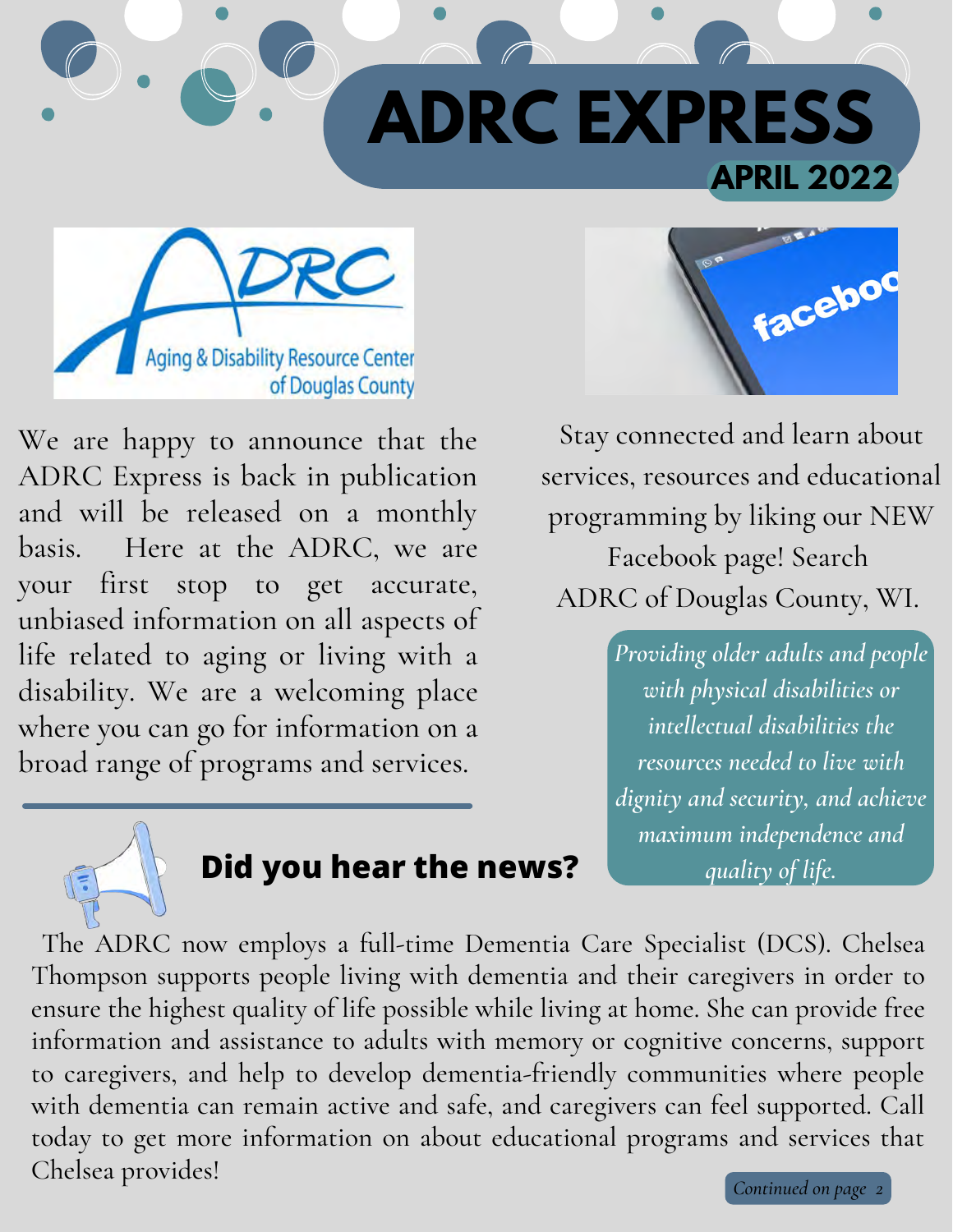



We are happy to announce that the ADRC Express is back in publication and will be released on a monthly basis. Here at the ADRC, we are your first stop to get accurate, unbiased information on all aspects of life related to aging or living with a disability. We are a welcoming place where you can go for information on a broad range of programs and services.



Stay connected and learn about services, resources and educational programming by liking our NEW Facebook page! Search ADRC of Douglas County, WI.

> *Providing older adults and people with physical disabilities or intellectual disabilities the resources needed to live with dignity and security, and achieve maximum independence and*



# **Did you hear the news?** *quality of life.*

The ADRC now employs a full-time Dementia Care Specialist (DCS). Chelsea Thompson supports people living with dementia and their caregivers in order to ensure the highest quality of life possible while living at home. She can provide free information and assistance to adults with memory or cognitive concerns, support to caregivers, and help to develop dementia-friendly communities where people with dementia can remain active and safe, and caregivers can feel supported. Call today to get more information on about educational programs and services that Chelsea provides!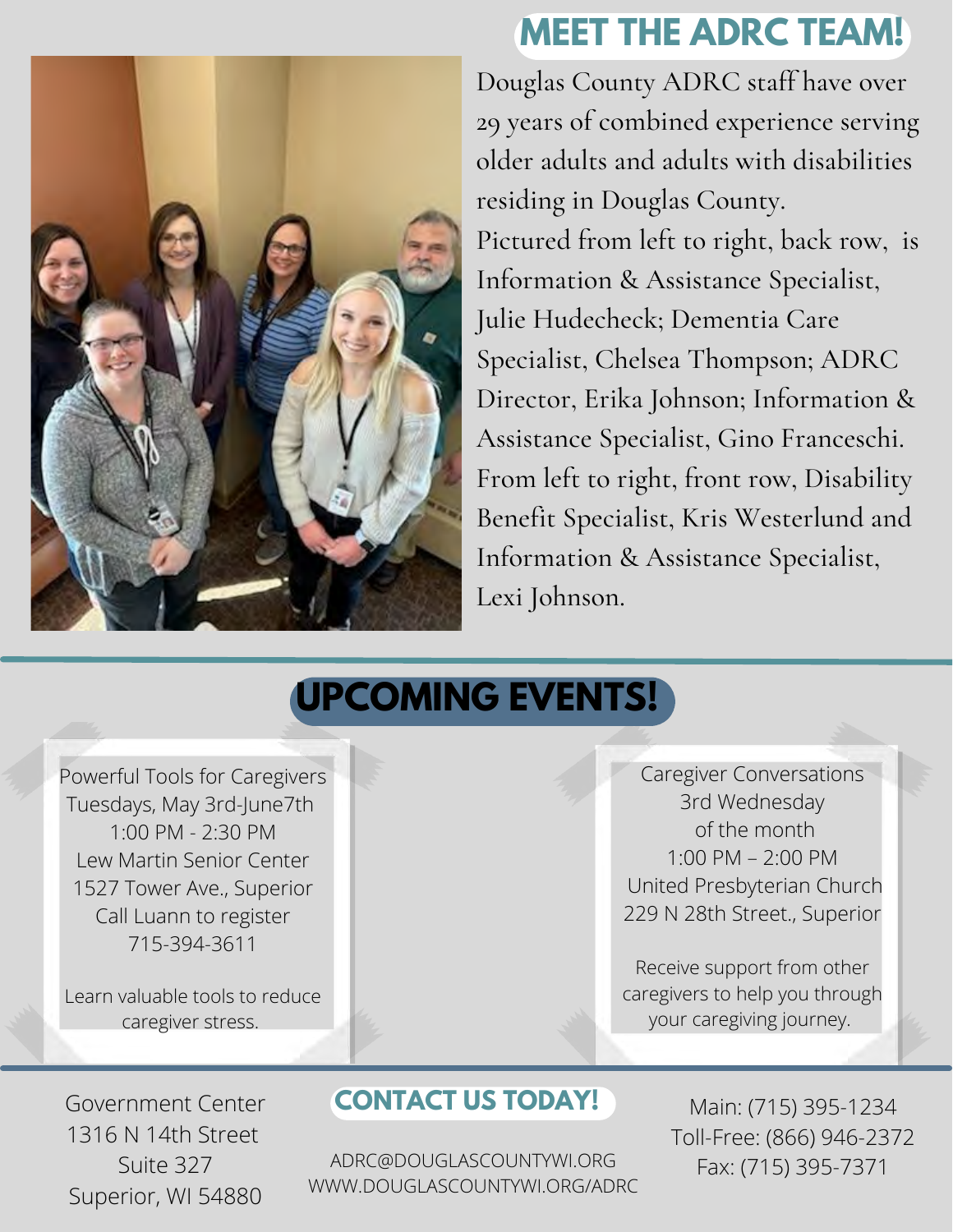

## **MEET THE ADRC TEAM!**

Douglas County ADRC staff have over 29 years of combined experience serving older adults and adults with disabilities residing in Douglas County. Pictured from left to right, back row, is Information & Assistance Specialist, Julie Hudecheck; Dementia Care Specialist, Chelsea Thompson; ADRC Director, Erika Johnson; Information & Assistance Specialist, Gino Franceschi. From left to right, front row, Disability Benefit Specialist, Kris Westerlund and Information & Assistance Specialist, Lexi Johnson.

## **UPCOMING EVENTS!**

Powerful Tools for Caregivers Tuesdays, May 3rd-June7th  $1:00$  PM - 2 $:30$  PM Lew Martin Senior Center 1527 Tower Ave., Superior Call Luann to register 715-394-3611

Learn valuable tools to reduce caregiver stress.

Caregiver Conversations 3rd Wednesday of the month 1:00 PM – 2:00 PM United Presbyterian Church 229 N 28th Street., Superior

Receive support from other caregivers to help you through your caregiving journey.

Government Center 1316 N 14th Street Suite 327 Superior, WI 54880

### **CONTACT US TODAY!**

ADRC@DOUGLASCOUNTYWI.ORG WWW.DOUGLASCOUNTYWI.ORG/ADRC

Main: (715) 395-1234 Toll-Free: (866) 946-2372 Fax: (715) 395-7371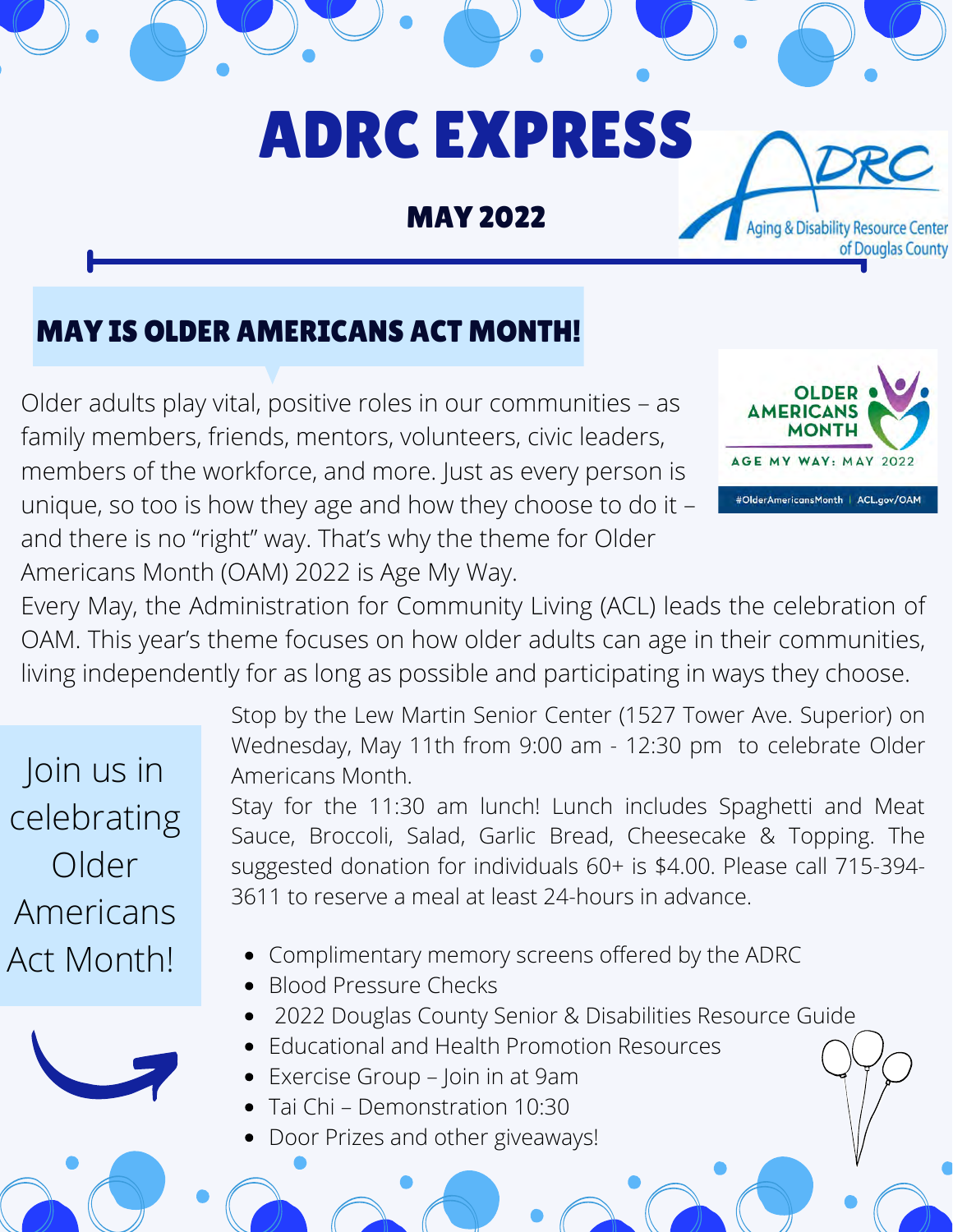# ADRC EXPRESS

MAY 2022

## MAY IS OLDER AMERICANS ACT MONTH!

Older adults play vital, positive roles in our communities – as family members, friends, mentors, volunteers, civic leaders, members of the workforce, and more. Just as every person is unique, so too is how they age and how they choose to do it – and there is no "right" way. That's why the theme for Older Americans Month (OAM) 2022 is Age My Way.



**Aging & Disability Resource Center** 

of Douglas County

Every May, the Administration for Community Living (ACL) leads the celebration of OAM. This year's theme focuses on how older adults can age in their communities, living independently for as long as possible and participating in ways they choose.

Join us in celebrating Older Americans



Stop by the Lew Martin Senior Center (1527 Tower Ave. Superior) on Wednesday, May 11th from 9:00 am - 12:30 pm to celebrate Older Americans Month.

Stay for the 11:30 am lunch! Lunch includes Spaghetti and Meat Sauce, Broccoli, Salad, Garlic Bread, Cheesecake & Topping. The suggested donation for individuals 60+ is \$4.00. Please call 715-394- 3611 to reserve a meal at least 24-hours in advance.

- Act Month! Complimentary memory screens offered by the ADRC
	- Blood Pressure Checks
	- 2022 Douglas County Senior & Disabilities Resource Guide
	- Educational and Health Promotion Resources
	- Exercise Group Join in at 9am
	- Tai Chi Demonstration 10:30
	- Door Prizes and other giveaways!